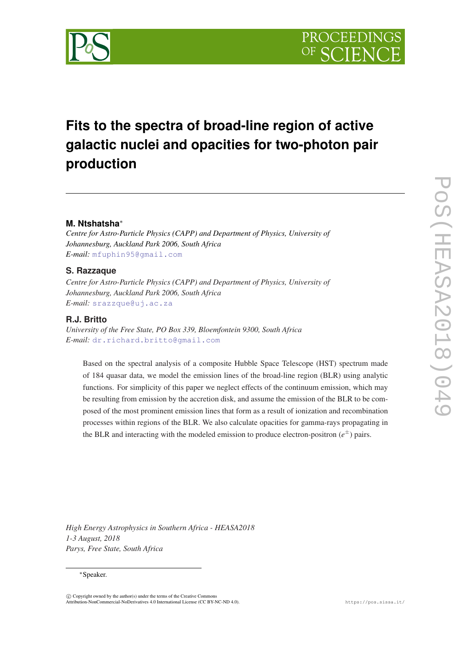

# **Fits to the spectra of broad-line region of active galactic nuclei and opacities for two-photon pair production**

# **M. Ntshatsha**<sup>∗</sup>

*Centre for Astro-Particle Physics (CAPP) and Department of Physics, University of Johannesburg, Auckland Park 2006, South Africa E-mail:* [mfuphin95@gmail.com](mailto:mfuphin95@gmail.com)

## **S. Razzaque**

*Centre for Astro-Particle Physics (CAPP) and Department of Physics, University of Johannesburg, Auckland Park 2006, South Africa E-mail:* [srazzque@uj.ac.za](mailto:srazzque@uj.ac.za)

## **R.J. Britto**

*University of the Free State, PO Box 339, Bloemfontein 9300, South Africa E-mail:* [dr.richard.britto@gmail.com](mailto:dr.richard.britto@gmail.com)

Based on the spectral analysis of a composite Hubble Space Telescope (HST) spectrum made of 184 quasar data, we model the emission lines of the broad-line region (BLR) using analytic functions. For simplicity of this paper we neglect effects of the continuum emission, which may be resulting from emission by the accretion disk, and assume the emission of the BLR to be composed of the most prominent emission lines that form as a result of ionization and recombination processes within regions of the BLR. We also calculate opacities for gamma-rays propagating in the BLR and interacting with the modeled emission to produce electron-positron  $(e^{\pm})$  pairs.

*High Energy Astrophysics in Southern Africa - HEASA2018 1-3 August, 2018 Parys, Free State, South Africa*

#### <sup>∗</sup>Speaker.

 $\overline{c}$  Copyright owned by the author(s) under the terms of the Creative Common Attribution-NonCommercial-NoDerivatives 4.0 International License (CC BY-NC-ND 4.0). https://pos.sissa.it/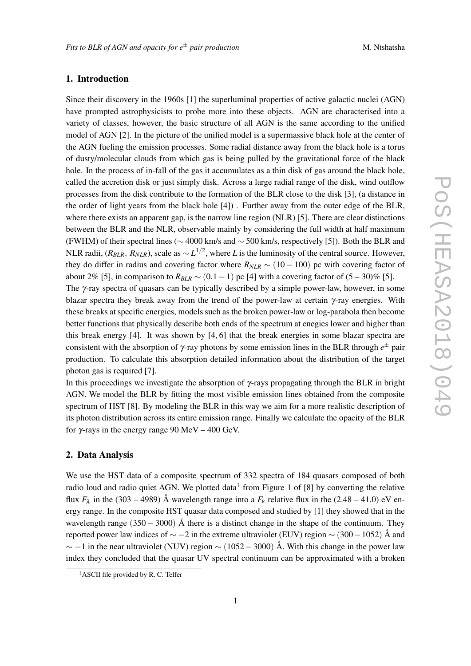# 1. Introduction

Since their discovery in the 1960s [1] the superluminal properties of active galactic nuclei (AGN) have prompted astrophysicists to probe more into these objects. AGN are characterised into a variety of classes, however, the basic structure of all AGN is the same according to the unified model of AGN [2]. In the picture of the unified model is a supermassive black hole at the center of the AGN fueling the emission processes. Some radial distance away from the black hole is a torus of dusty/molecular clouds from which gas is being pulled by the gravitational force of the black hole. In the process of in-fall of the gas it accumulates as a thin disk of gas around the black hole, called the accretion disk or just simply disk. Across a large radial range of the disk, wind outflow processes from the disk contribute to the formation of the BLR close to the disk [3], (a distance in the order of light years from the black hole [4]) . Further away from the outer edge of the BLR, where there exists an apparent gap, is the narrow line region (NLR) [5]. There are clear distinctions between the BLR and the NLR, observable mainly by considering the full width at half maximum (FWHM) of their spectral lines (∼ 4000 km/s and ∼ 500 km/s, respectively [5]). Both the BLR and NLR radii, ( $R_{BLR}$ ,  $R_{NLR}$ ), scale as  $\sim L^{1/2}$ , where *L* is the luminosity of the central source. However, they do differ in radius and covering factor where  $R_{NLR} \sim (10 - 100)$  pc with covering factor of about 2% [5], in comparison to  $R_{BLR}$  ~ (0.1 – 1) pc [4] with a covering factor of  $(5-30)$ % [5]. The  $\gamma$ -ray spectra of quasars can be typically described by a simple power-law, however, in some blazar spectra they break away from the trend of the power-law at certain γ-ray energies. With these breaks at specific energies, models such as the broken power-law or log-parabola then become better functions that physically describe both ends of the spectrum at enegies lower and higher than this break energy [4]. It was shown by [4, 6] that the break energies in some blazar spectra are

consistent with the absorption of  $\gamma$ -ray photons by some emission lines in the BLR through  $e^\pm$  pair production. To calculate this absorption detailed information about the distribution of the target photon gas is required [7].

In this proceedings we investigate the absorption of  $\gamma$ -rays propagating through the BLR in bright AGN. We model the BLR by fitting the most visible emission lines obtained from the composite spectrum of HST [8]. By modeling the BLR in this way we aim for a more realistic description of its photon distribution across its entire emission range. Finally we calculate the opacity of the BLR for γ-rays in the energy range 90 MeV – 400 GeV.

#### 2. Data Analysis

We use the HST data of a composite spectrum of 332 spectra of 184 quasars composed of both radio loud and radio quiet AGN. We plotted data<sup>1</sup> from Figure 1 of [8] by converting the relative flux  $F_{\lambda}$  in the (303 – 4989) Å wavelength range into a  $F_{\varepsilon}$  relative flux in the (2.48 – 41.0) eV energy range. In the composite HST quasar data composed and studied by [1] they showed that in the wavelength range  $(350 - 3000)$  Å there is a distinct change in the shape of the continuum. They reported power law indices of  $\sim$  −2 in the extreme ultraviolet (EUV) region  $\sim$  (300 − 1052) Å and  $\sim$  −1 in the near ultraviolet (NUV) region  $\sim$  (1052 – 3000) Å. With this change in the power law index they concluded that the quasar UV spectral continuum can be approximated with a broken

<sup>&</sup>lt;sup>1</sup>ASCII file provided by R. C. Telfer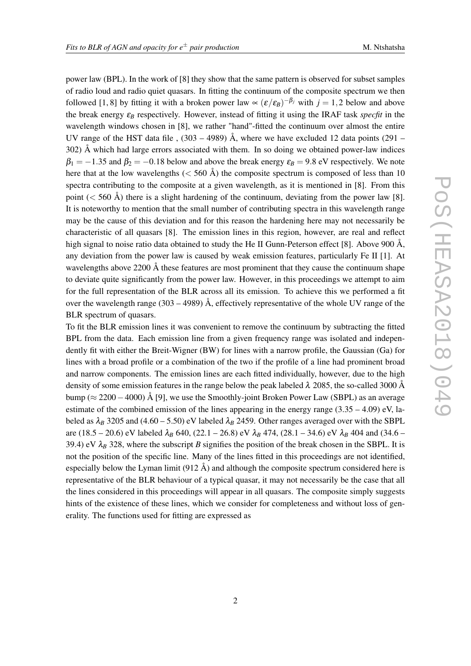power law (BPL). In the work of [8] they show that the same pattern is observed for subset samples of radio loud and radio quiet quasars. In fitting the continuum of the composite spectrum we then followed [1, 8] by fitting it with a broken power law  $\propto (\varepsilon/\varepsilon_B)^{-\beta_j}$  with  $j = 1,2$  below and above the break energy  $\varepsilon_B$  respectively. However, instead of fitting it using the IRAF task *specfit* in the wavelength windows chosen in [8], we rather "hand"-fitted the continuum over almost the entire UV range of the HST data file ,  $(303 - 4989)$  Å, where we have excluded 12 data points (291 – 302) Å which had large errors associated with them. In so doing we obtained power-law indices  $\beta_1 = -1.35$  and  $\beta_2 = -0.18$  below and above the break energy  $\varepsilon_B = 9.8$  eV respectively. We note here that at the low wavelengths  $(< 560 \text{ Å})$  the composite spectrum is composed of less than 10 spectra contributing to the composite at a given wavelength, as it is mentioned in [8]. From this point  $(< 560 \text{ Å})$  there is a slight hardening of the continuum, deviating from the power law [8]. It is noteworthy to mention that the small number of contributing spectra in this wavelength range may be the cause of this deviation and for this reason the hardening here may not necessarily be characteristic of all quasars [8]. The emission lines in this region, however, are real and reflect high signal to noise ratio data obtained to study the He II Gunn-Peterson effect [8]. Above 900 Å, any deviation from the power law is caused by weak emission features, particularly Fe II [1]. At wavelengths above 2200  $\AA$  these features are most prominent that they cause the continuum shape to deviate quite significantly from the power law. However, in this proceedings we attempt to aim for the full representation of the BLR across all its emission. To achieve this we performed a fit over the wavelength range (303 – 4989)  $\AA$ , effectively representative of the whole UV range of the BLR spectrum of quasars.

To fit the BLR emission lines it was convenient to remove the continuum by subtracting the fitted BPL from the data. Each emission line from a given frequency range was isolated and independently fit with either the Breit-Wigner (BW) for lines with a narrow profile, the Gaussian (Ga) for lines with a broad profile or a combination of the two if the profile of a line had prominent broad and narrow components. The emission lines are each fitted individually, however, due to the high density of some emission features in the range below the peak labeled  $\lambda$  2085, the so-called 3000 Å bump (≈ 2200−4000) Å [9], we use the Smoothly-joint Broken Power Law (SBPL) as an average estimate of the combined emission of the lines appearing in the energy range  $(3.35 - 4.09)$  eV, labeled as  $\lambda_B$  3205 and (4.60 – 5.50) eV labeled  $\lambda_B$  2459. Other ranges averaged over with the SBPL are (18.5 – 20.6) eV labeled  $\lambda_B$  640, (22.1 – 26.8) eV  $\lambda_B$  474, (28.1 – 34.6) eV  $\lambda_B$  404 and (34.6 – 39.4) eV  $\lambda_B$  328, where the subscript *B* signifies the position of the break chosen in the SBPL. It is not the position of the specific line. Many of the lines fitted in this proceedings are not identified, especially below the Lyman limit  $(912 \text{ Å})$  and although the composite spectrum considered here is representative of the BLR behaviour of a typical quasar, it may not necessarily be the case that all the lines considered in this proceedings will appear in all quasars. The composite simply suggests hints of the existence of these lines, which we consider for completeness and without loss of generality. The functions used for fitting are expressed as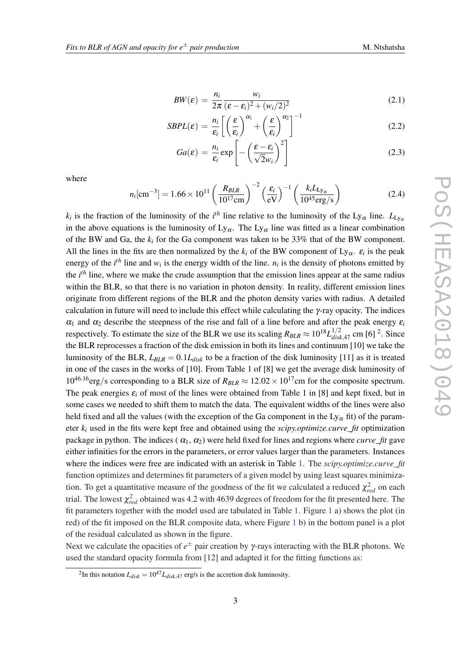$$
BW(\varepsilon) = \frac{n_i}{2\pi} \frac{w_i}{(\varepsilon - \varepsilon_i)^2 + (w_i/2)^2}
$$
 (2.1)

$$
SBPL(\varepsilon) = \frac{n_i}{\varepsilon_i} \left[ \left( \frac{\varepsilon}{\varepsilon_i} \right)^{\alpha_1} + \left( \frac{\varepsilon}{\varepsilon_i} \right)^{\alpha_2} \right]^{-1} \tag{2.2}
$$

$$
Ga(\varepsilon) = \frac{n_i}{\varepsilon_i} \exp\left[-\left(\frac{\varepsilon - \varepsilon_i}{\sqrt{2}w_i}\right)^2\right]
$$
 (2.3)

<span id="page-3-0"></span>where

$$
n_i[\text{cm}^{-3}] = 1.66 \times 10^{11} \left( \frac{R_{BLR}}{10^{17} \text{cm}} \right)^{-2} \left( \frac{\varepsilon_i}{\text{eV}} \right)^{-1} \left( \frac{k_i L_{\text{Ly}_\alpha}}{10^{45} \text{erg/s}} \right)
$$
(2.4)

*k<sub>i</sub>* is the fraction of the luminosity of the *i*<sup>th</sup> line relative to the luminosity of the Ly<sub>α</sub> line.  $L_{Ly\alpha}$ in the above equations is the luminosity of  $Ly_{\alpha}$ . The  $Ly_{\alpha}$  line was fitted as a linear combination of the BW and Ga, the *k<sup>i</sup>* for the Ga component was taken to be 33% that of the BW component. All the lines in the fits are then normalized by the  $k_i$  of the BW component of  $Ly_\alpha$ .  $\varepsilon_i$  is the peak energy of the  $i^{th}$  line and  $w_i$  is the energy width of the line.  $n_i$  is the density of photons emitted by the *i th* line, where we make the crude assumption that the emission lines appear at the same radius within the BLR, so that there is no variation in photon density. In reality, different emission lines originate from different regions of the BLR and the photon density varies with radius. A detailed calculation in future will need to include this effect while calculating the  $\gamma$ -ray opacity. The indices  $\alpha_1$  and  $\alpha_2$  describe the steepness of the rise and fall of a line before and after the peak energy  $\varepsilon_i$ respectively. To estimate the size of the BLR we use its scaling  $R_{BLR} \approx 10^{18} L_{disk,47}^{1/2}$  cm [6] <sup>2</sup>. Since the BLR reprocesses a fraction of the disk emission in both its lines and continuum [10] we take the luminosity of the BLR,  $L_{BLR} = 0.1L_{disk}$  to be a fraction of the disk luminosity [11] as it is treated in one of the cases in the works of [10]. From Table 1 of [8] we get the average disk luminosity of  $10^{46.16}$ erg/s corresponding to a BLR size of  $R_{BLR} \approx 12.02 \times 10^{17}$ cm for the composite spectrum. The peak energies  $\varepsilon_i$  of most of the lines were obtained from Table 1 in [8] and kept fixed, but in some cases we needed to shift them to match the data. The equivalent widths of the lines were also held fixed and all the values (with the exception of the Ga component in the  $Ly_{\alpha}$  fit) of the parameter *k<sup>i</sup>* used in the fits were kept free and obtained using the *scipy.optimize.curve\_fit* optimization package in python. The indices  $(\alpha_1, \alpha_2)$  were held fixed for lines and regions where *curve\_fit* gave either infinities for the errors in the parameters, or error values larger than the parameters. Instances where the indices were free are indicated with an asterisk in Table [1.](#page-4-0) The *scipy optimize.curve* fit function optimizes and determines fit parameters of a given model by using least squares minimization. To get a quantitative measure of the goodness of the fit we calculated a reduced  $\chi^2_{red}$  on each trial. The lowest  $\chi^2_{red}$  obtained was 4.2 with 4639 degrees of freedom for the fit presented here. The fit parameters together with the model used are tabulated in Table [1](#page-4-0). Figure [1](#page-5-0) a) shows the plot (in red) of the fit imposed on the BLR composite data, where Figure [1](#page-5-0) b) in the bottom panel is a plot of the residual calculated as shown in the figure.

Next we calculate the opacities of *e* <sup>±</sup> pair creation by γ-rays interacting with the BLR photons. We used the standard opacity formula from [12] and adapted it for the fitting functions as:

<sup>&</sup>lt;sup>2</sup>In this notation  $L_{disk} = 10^{47} L_{disk, 47}$  erg/s is the accretion disk luminosity.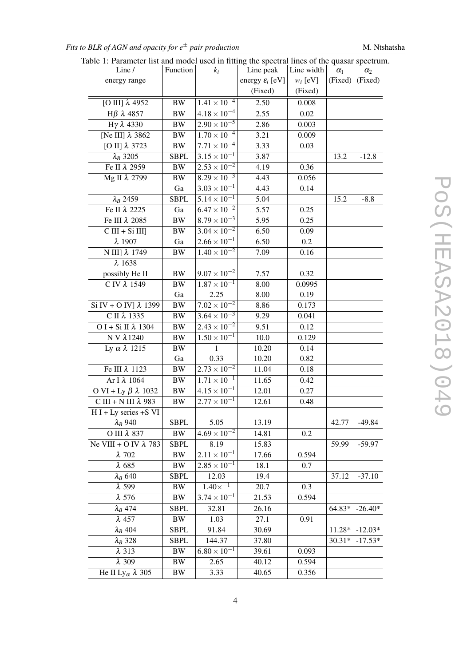<span id="page-4-0"></span>*Fits to BLR of AGN and opacity for e<sup>* $\pm$ *</sup> pair production* M. Ntshatsha

| Table 1: Parameter list and model used in fitting the spectral lines of the quasar spectrum. |  |  |  |
|----------------------------------------------------------------------------------------------|--|--|--|
|                                                                                              |  |  |  |

| Line /                                                | Function    | $k_i$                 | Line peak                   | Line width | $\alpha_1$ | $\alpha_2$ |
|-------------------------------------------------------|-------------|-----------------------|-----------------------------|------------|------------|------------|
| energy range                                          |             |                       | energy $\varepsilon_i$ [eV] | $w_i$ [eV] | (Fixed)    | (Fixed)    |
|                                                       |             |                       | (Fixed)                     | (Fixed)    |            |            |
| [O III] $\lambda$ 4952                                | <b>BW</b>   | $1.41 \times 10^{-4}$ | 2.50                        | 0.008      |            |            |
| $H\beta \lambda 4857$                                 | <b>BW</b>   | $4.18 \times 10^{-4}$ | 2.55                        | 0.02       |            |            |
| $Hγλ$ 4330                                            | <b>BW</b>   | $2.90 \times 10^{-5}$ | 2.86                        | 0.003      |            |            |
| [Ne III] λ 3862                                       | $\rm BW$    | $1.70 \times 10^{-4}$ | 3.21                        | 0.009      |            |            |
| [O II] $\lambda$ 3723                                 | <b>BW</b>   | $7.71 \times 10^{-4}$ | 3.33                        | 0.03       |            |            |
| $\lambda_B$ 3205                                      | <b>SBPL</b> | $3.15 \times 10^{-1}$ | 3.87                        |            | 13.2       | $-12.8$    |
| Ге II $\lambda$ 2959                                  | <b>BW</b>   | $2.53 \times 10^{-2}$ | 4.19                        | 0.36       |            |            |
| Mg II λ 2799                                          | <b>BW</b>   | $8.29 \times 10^{-3}$ | 4.43                        | 0.056      |            |            |
|                                                       | Ga          | $3.03 \times 10^{-1}$ | 4.43                        | 0.14       |            |            |
| $\lambda_B$ 2459                                      | <b>SBPL</b> | $5.14 \times 10^{-1}$ | 5.04                        |            | 15.2       | $-8.8$     |
| Fe II λ 2225                                          | Ga          | $6.47 \times 10^{-2}$ | 5.57                        | 0.25       |            |            |
| Fe III λ 2085                                         | $\rm BW$    | $8.79 \times 10^{-3}$ | 5.95                        | 0.25       |            |            |
| $C III + Si III$                                      | <b>BW</b>   | $3.04 \times 10^{-2}$ | 6.50                        | 0.09       |            |            |
| $\lambda$ 1907                                        | Ga          | $2.66 \times 10^{-1}$ | 6.50                        | 0.2        |            |            |
| N III] λ 1749                                         | <b>BW</b>   | $1.40 \times 10^{-2}$ | 7.09                        | 0.16       |            |            |
| $\lambda$ 1638                                        |             |                       |                             |            |            |            |
| possibly He II                                        | <b>BW</b>   | $9.07 \times 10^{-2}$ | 7.57                        | 0.32       |            |            |
| C IV λ 1549                                           | <b>BW</b>   | $1.87 \times 10^{-1}$ | 8.00                        | 0.0995     |            |            |
|                                                       | Ga          | 2.25                  | 8.00                        | 0.19       |            |            |
| Si IV + O IV] $\lambda$ 1399                          | <b>BW</b>   | $7.02 \times 10^{-2}$ | 8.86                        | 0.173      |            |            |
| $\overline{C}$ II $\lambda$ 1335                      | <b>BW</b>   | $3.64 \times 10^{-3}$ | 9.29                        | 0.041      |            |            |
| O I + Si II $\lambda$ 1304                            | <b>BW</b>   | $2.43 \times 10^{-2}$ | 9.51                        | 0.12       |            |            |
| <b>NV</b> λ1240                                       | $\rm BW$    | $1.50 \times 10^{-1}$ | 10.0                        | 0.129      |            |            |
| Ly $\alpha$ $\lambda$ 1215                            | <b>BW</b>   | $\mathbf{1}$          | 10.20                       | 0.14       |            |            |
|                                                       | Ga          | 0.33                  | 10.20                       | 0.82       |            |            |
| Ге III $\lambda$ 1123                                 | <b>BW</b>   | $2.73 \times 10^{-2}$ | 11.04                       | 0.18       |            |            |
| Ar I λ 1064                                           | $\rm BW$    | $1.71 \times 10^{-1}$ | 11.65                       | 0.42       |            |            |
| O VI + Ly $\beta$ $\lambda$ 1032                      | $\rm BW$    | $4.15 \times 10^{-1}$ | 12.01                       | 0.27       |            |            |
| $\overline{C}$ III + N III $\lambda$ 983              | <b>BW</b>   | $2.77 \times 10^{-1}$ | 12.61                       | 0.48       |            |            |
| $H I + Ly$ series $+S VI$                             |             |                       |                             |            |            |            |
| $\lambda_B$ 940                                       | <b>SBPL</b> | 5.05                  | 13.19                       |            | 42.77      | $-49.84$   |
| O III λ 837                                           | <b>BW</b>   | $4.69 \times 10^{-2}$ | 14.81                       | 0.2        |            |            |
| Ne VIII + O IV $\lambda$ 783                          | <b>SBPL</b> | 8.19                  | 15.83                       |            | 59.99      | $-59.97$   |
| $\lambda$ 702                                         | <b>BW</b>   | $2.11 \times 10^{-1}$ | 17.66                       | 0.594      |            |            |
| $\lambda$ 685                                         | <b>BW</b>   | $2.85 \times 10^{-1}$ | 18.1                        | 0.7        |            |            |
| $\lambda_B$ 640                                       | <b>SBPL</b> | 12.03                 | 19.4                        |            | 37.12      | $-37.10$   |
| $\lambda$ 599                                         | <b>BW</b>   | $1.40\times^{-1}$     | 20.7                        | 0.3        |            |            |
| $\lambda$ 576                                         | <b>BW</b>   | $3.74 \times 10^{-1}$ | 21.53                       | 0.594      |            |            |
| $\lambda_B$ 474                                       | <b>SBPL</b> | 32.81                 | 26.16                       |            | 64.83*     | $-26.40*$  |
| $\lambda$ 457                                         | <b>BW</b>   | 1.03                  | 27.1                        | 0.91       |            |            |
| $\lambda_B$ 404                                       | SBPL        | 91.84                 | 30.69                       |            | $11.28*$   | $-12.03*$  |
| $\lambda_B$ 328                                       | SBPL        | 144.37                | 37.80                       |            | $30.31*$   | $-17.53*$  |
| $\lambda$ 313                                         | $\rm BW$    | $6.80 \times 10^{-1}$ | 39.61                       | 0.093      |            |            |
| $\lambda$ 309                                         | <b>BW</b>   | 2.65                  | 40.12                       | 0.594      |            |            |
| He II Ly <sub><math>\alpha</math></sub> $\lambda$ 305 | <b>BW</b>   | 3.33                  | 40.65                       | 0.356      |            |            |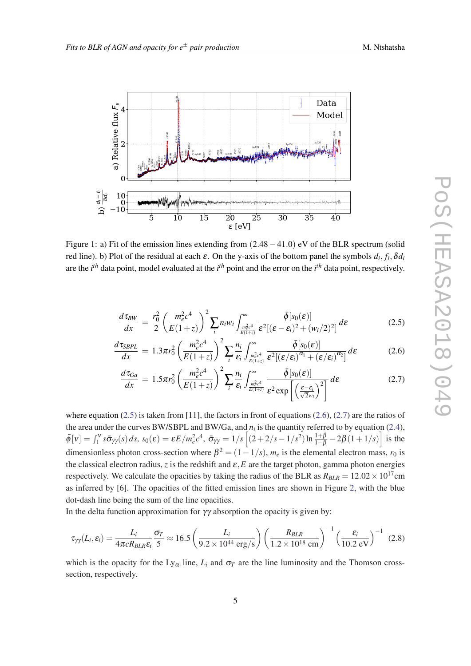<span id="page-5-0"></span>

Figure 1: a) Fit of the emission lines extending from (2.48−41.0) eV of the BLR spectrum (solid red line). b) Plot of the residual at each  $\varepsilon$ . On the y-axis of the bottom panel the symbols  $d_i, f_i, \delta d_i$ are the *i th* data point, model evaluated at the *i th* point and the error on the *i th* data point, respectively.

$$
\frac{d\tau_{BW}}{dx} = \frac{r_0^2}{2} \left(\frac{m_e^2 c^4}{E(1+z)}\right)^2 \sum_i n_i w_i \int_{\frac{m_e^2 c^4}{E(1+z)}}^{\infty} \frac{\bar{\phi}[s_0(\varepsilon)]}{\varepsilon^2 [(\varepsilon - \varepsilon_i)^2 + (w_i/2)^2]} d\varepsilon \tag{2.5}
$$

$$
\frac{d\tau_{SBPL}}{dx} = 1.3\pi r_0^2 \left(\frac{m_e^2 c^4}{E(1+z)}\right)^2 \sum_i \frac{n_i}{\varepsilon_i} \int_{\frac{m_e^2 c^4}{E(1+z)}}^{\infty} \frac{\bar{\phi}[s_0(\varepsilon)]}{\varepsilon^2 [(\varepsilon/\varepsilon_i)^{\alpha_1} + (\varepsilon/\varepsilon_i)^{\alpha_2}]} d\varepsilon \tag{2.6}
$$

$$
\frac{d\tau_{Ga}}{dx} = 1.5\pi r_0^2 \left(\frac{m_e^2 c^4}{E(1+z)}\right)^2 \sum_i \frac{n_i}{\varepsilon_i} \int_{\frac{m_e^2 c^4}{E(1+z)}}^{\infty} \frac{\bar{\phi}[s_0(\varepsilon)]}{\varepsilon^2 \exp\left[\left(\frac{\varepsilon - \varepsilon_i}{\sqrt{2}w_i}\right)^2\right]} d\varepsilon \tag{2.7}
$$

where equation (2.5) is taken from [11], the factors in front of equations (2.6), (2.7) are the ratios of the area under the curves BW/SBPL and BW/Ga, and  $n_i$  is the quantity referred to by equation ([2.4\)](#page-3-0),  $\bar{\phi}[v] = \int_1^v s \bar{\sigma}_{\gamma\gamma}(s) ds$ ,  $s_0(\varepsilon) = \varepsilon E/m_e^2 c^4$ ,  $\bar{\sigma}_{\gamma\gamma} = 1/s \left[ (2+2/s-1/s^2) \ln \frac{1+\beta}{1-\beta} - 2\beta (1+1/s) \right]$  is the dimensionless photon cross-section where  $\beta^2 = (1 - 1/s)$ ,  $m_e$  is the elemental electron mass,  $r_0$  is the classical electron radius, *z* is the redshift and  $\varepsilon$ , *E* are the target photon, gamma photon energies respectively. We calculate the opacities by taking the radius of the BLR as  $R_{BLR} = 12.02 \times 10^{17}$ cm as inferred by [6]. The opacities of the fitted emission lines are shown in Figure [2,](#page-6-0) with the blue dot-dash line being the sum of the line opacities.

In the delta function approximation for  $\gamma\gamma$  absorption the opacity is given by:

$$
\tau_{\gamma\gamma}(L_i, \varepsilon_i) = \frac{L_i}{4\pi c R_{BLR} \varepsilon_i} \frac{\sigma_T}{5} \approx 16.5 \left( \frac{L_i}{9.2 \times 10^{44} \text{ erg/s}} \right) \left( \frac{R_{BLR}}{1.2 \times 10^{18} \text{ cm}} \right)^{-1} \left( \frac{\varepsilon_i}{10.2 \text{ eV}} \right)^{-1} (2.8)
$$

which is the opacity for the Ly<sub>α</sub> line,  $L_i$  and  $\sigma_T$  are the line luminosity and the Thomson crosssection, respectively.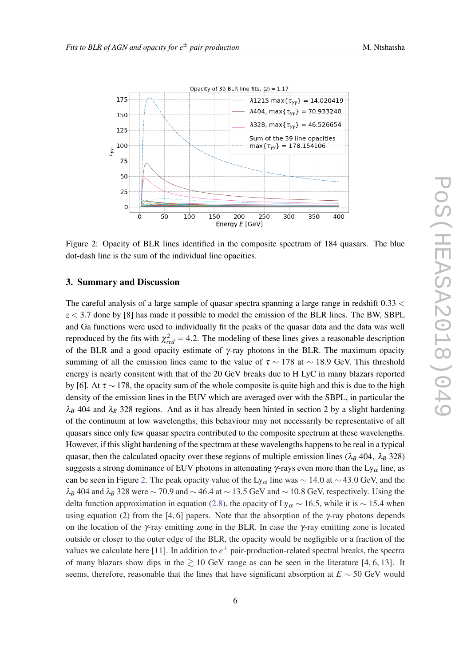<span id="page-6-0"></span>

Figure 2: Opacity of BLR lines identified in the composite spectrum of 184 quasars. The blue dot-dash line is the sum of the individual line opacities.

## 3. Summary and Discussion

The careful analysis of a large sample of quasar spectra spanning a large range in redshift 0.33 < *z* < 3.7 done by [8] has made it possible to model the emission of the BLR lines. The BW, SBPL and Ga functions were used to individually fit the peaks of the quasar data and the data was well reproduced by the fits with  $\chi^2_{red} = 4.2$ . The modeling of these lines gives a reasonable description of the BLR and a good opacity estimate of  $\gamma$ -ray photons in the BLR. The maximum opacity summing of all the emission lines came to the value of  $\tau \sim 178$  at ~ 18.9 GeV. This threshold energy is nearly consitent with that of the 20 GeV breaks due to H LyC in many blazars reported by [6]. At  $\tau \sim 178$ , the opacity sum of the whole composite is quite high and this is due to the high density of the emission lines in the EUV which are averaged over with the SBPL, in particular the  $\lambda_B$  404 and  $\lambda_B$  328 regions. And as it has already been hinted in section 2 by a slight hardening of the continuum at low wavelengths, this behaviour may not necessarily be representative of all quasars since only few quasar spectra contributed to the composite spectrum at these wavelengths. However, if this slight hardening of the spectrum at these wavelengths happens to be real in a typical quasar, then the calculated opacity over these regions of multiple emission lines ( $\lambda_B$  404,  $\lambda_B$  328) suggests a strong dominance of EUV photons in attenuating  $\gamma$ -rays even more than the Ly<sub>α</sub> line, as can be seen in Figure 2. The peak opacity value of the Ly<sub>α</sub> line was  $\sim$  14.0 at  $\sim$  43.0 GeV, and the  $\lambda_B$  404 and  $\lambda_B$  328 were  $\sim$  70.9 and  $\sim$  46.4 at  $\sim$  13.5 GeV and  $\sim$  10.8 GeV, respectively. Using the delta function approximation in equation ([2.8\)](#page-5-0), the opacity of Ly<sub>α</sub> ~ 16.5, while it is ~ 15.4 when using equation (2) from the [4, 6] papers. Note that the absorption of the  $\gamma$ -ray photons depends on the location of the  $\gamma$ -ray emitting zone in the BLR. In case the  $\gamma$ -ray emitting zone is located outside or closer to the outer edge of the BLR, the opacity would be negligible or a fraction of the values we calculate here [11]. In addition to *e* <sup>±</sup> pair-production-related spectral breaks, the spectra of many blazars show dips in the  $\geq 10$  GeV range as can be seen in the literature [4, 6, 13]. It seems, therefore, reasonable that the lines that have significant absorption at  $E \sim 50$  GeV would